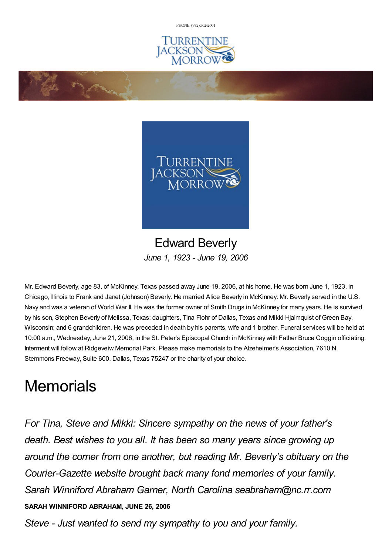PHONE: (972) [562-2601](tel:(972) 562-2601)





## Edward Beverly *June 1, 1923 - June 19, 2006*

Mr. Edward Beverly, age 83, of McKinney, Texas passed away June 19, 2006, at his home. He was born June 1, 1923, in Chicago, Illinois to Frank and Janet (Johnson) Beverly. He married Alice Beverly in McKinney. Mr. Beverly served in the U.S. Navy and was a veteran of World War II. He was the former owner of Smith Drugs in McKinney for many years. He is survived by his son, Stephen Beverly of Melissa, Texas; daughters, Tina Flohr of Dallas, Texas and Mikki Hjalmquist of Green Bay, Wisconsin; and 6 grandchildren. He was preceded in death by his parents, wife and 1 brother. Funeral services will be held at 10:00 a.m., Wednesday, June 21, 2006, in the St. Peter's Episcopal Church in McKinney with Father Bruce Coggin officiating. Interment will follow at Ridgeveiw Memorial Park. Please make memorials to the Alzeheimer's Association, 7610 N. Stemmons Freeway, Suite 600, Dallas, Texas 75247 or the charity of your choice.

# **Memorials**

*For Tina, Steve and Mikki: Sincere sympathy on the news of your father's death. Best wishes to you all. It has been so many years since growing up around the corner from one another, but reading Mr. Beverly's obituary on the Courier-Gazette website brought back many fond memories of your family. Sarah Winniford Abraham Garner, North Carolina seabraham@nc.rr.com* **SARAH WINNIFORD ABRAHAM, JUNE 26, 2006**

*Steve - Just wanted to send my sympathy to you and your family.*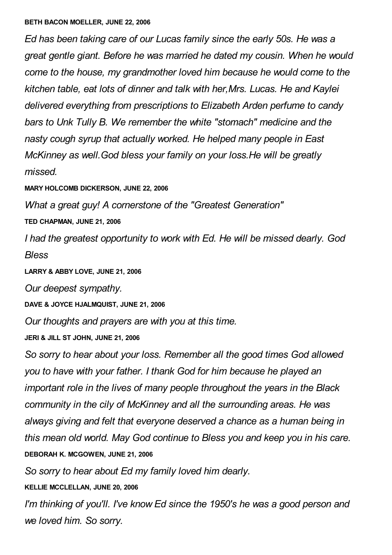#### **BETH BACON MOELLER, JUNE 22, 2006**

*Ed has been taking care of our Lucas family since the early 50s. He was a great gentle giant. Before he was married he dated my cousin. When he would come to the house, my grandmother loved him because he would come to the kitchen table, eat lots of dinner and talk with her,Mrs. Lucas. He and Kaylei delivered everything from prescriptions to Elizabeth Arden perfume to candy bars to Unk Tully B. We remember the white "stomach" medicine and the nasty cough syrup that actually worked. He helped many people in East McKinney as well.God bless your family on your loss.He will be greatly missed.*

**MARY HOLCOMB DICKERSON, JUNE 22, 2006**

*What a great guy! A cornerstone of the "Greatest Generation"*

**TED CHAPMAN, JUNE 21, 2006**

*I had the greatest opportunity to work with Ed. He will be missed dearly. God Bless*

**LARRY & ABBY LOVE, JUNE 21, 2006**

*Our deepest sympathy.*

**DAVE & JOYCE HJALMQUIST, JUNE 21, 2006**

*Our thoughts and prayers are with you at this time.*

**JERI & JILL ST JOHN, JUNE 21, 2006**

*So sorry to hear about your loss. Remember all the good times God allowed you to have with your father. I thank God for him because he played an important role in the lives of many people throughout the years in the Black community in the cily of McKinney and all the surrounding areas. He was always giving and felt that everyone deserved a chance as a human being in this mean old world. May God continue to Bless you and keep you in his care.* **DEBORAH K. MCGOWEN, JUNE 21, 2006**

*So sorry to hear about Ed my family loved him dearly.*

**KELLIE MCCLELLAN, JUNE 20, 2006**

*I'm thinking of you'll. I've know Ed since the 1950's he was a good person and we loved him. So sorry.*